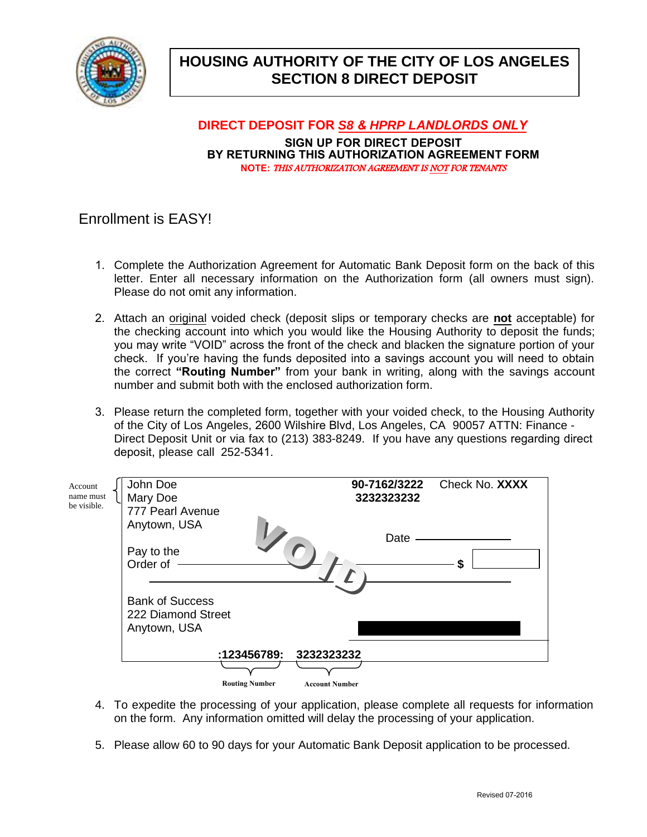

# **HOUSING AUTHORITY OF THE CITY OF LOS ANGELES SECTION 8 DIRECT DEPOSIT**

**DIRECT DEPOSIT FOR** *S8 & HPRP LANDLORDS ONLY* **SIGN UP FOR DIRECT DEPOSIT BY RETURNING THIS AUTHORIZATION AGREEMENT FORM NOTE:** THIS AUTHORIZATION AGREEMENT IS NOT FOR TENANTS

## Enrollment is EASY!

- 1. Complete the Authorization Agreement for Automatic Bank Deposit form on the back of this letter. Enter all necessary information on the Authorization form (all owners must sign). Please do not omit any information.
- 2. Attach an original voided check (deposit slips or temporary checks are **not** acceptable) for the checking account into which you would like the Housing Authority to deposit the funds; you may write "VOID" across the front of the check and blacken the signature portion of your check. If you're having the funds deposited into a savings account you will need to obtain the correct **"Routing Number"** from your bank in writing, along with the savings account number and submit both with the enclosed authorization form.
- 3. Please return the completed form, together with your voided check, to the Housing Authority of the City of Los Angeles, 2600 Wilshire Blvd, Los Angeles, CA 90057 ATTN: Finance - Direct Deposit Unit or via fax to (213) 383-8249. If you have any questions regarding direct deposit, please call 252-5341.

| Account<br>name must | John Doe<br>Mary Doe   |                       |                       | 90-7162/3222<br>3232323232 | Check No. XXXX |
|----------------------|------------------------|-----------------------|-----------------------|----------------------------|----------------|
| be visible.          | 777 Pearl Avenue       |                       |                       |                            |                |
|                      | Anytown, USA           |                       |                       | Date                       |                |
|                      | Pay to the             |                       |                       |                            |                |
|                      | Order of               |                       |                       |                            | ¢<br>J         |
|                      |                        |                       |                       |                            |                |
|                      | <b>Bank of Success</b> |                       |                       |                            |                |
|                      | 222 Diamond Street     |                       |                       |                            |                |
|                      | Anytown, USA           |                       |                       |                            |                |
|                      |                        |                       |                       |                            |                |
|                      |                        | :123456789:           | 3232323232            |                            |                |
|                      |                        |                       |                       |                            |                |
|                      |                        | <b>Routing Number</b> | <b>Account Number</b> |                            |                |

- 4. To expedite the processing of your application, please complete all requests for information on the form. Any information omitted will delay the processing of your application.
- 5. Please allow 60 to 90 days for your Automatic Bank Deposit application to be processed.